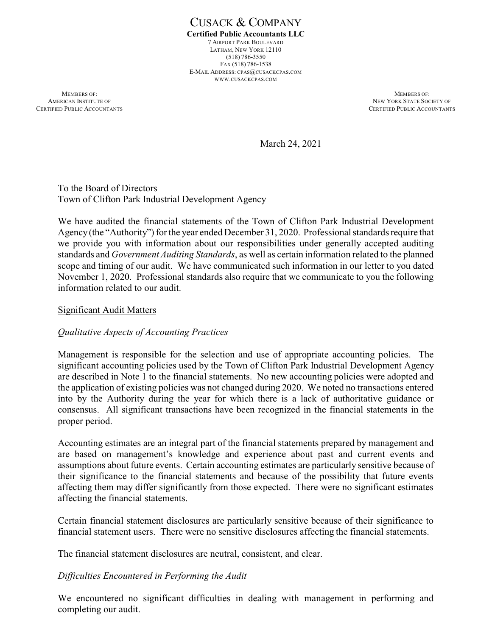CUSACK & COMPANY **Certified Public Accountants LLC** 7 AIRPORT PARK BOULEVARD LATHAM, NEW YORK 12110 (518) 786-3550 FAX (518) 786-1538 E-MAIL ADDRESS: CPAS@CUSACKCPAS.COM WWW.CUSACKCPAS.COM

**MEMBERS OF:** MEMBERS OF: AMERICAN INSTITUTE OF NEW YORK STATE SOCIETY OF NEW YORK STATE SOCIETY OF NEW YORK STATE SOCIETY OF NEW YORK STATE SOCIETY OF SAME ACCOUNTANTS

CERTIFIED PUBLIC ACCOUNTANTS

March 24, 2021

To the Board of Directors Town of Clifton Park Industrial Development Agency

We have audited the financial statements of the Town of Clifton Park Industrial Development Agency(the "Authority") for the year ended December 31, 2020. Professional standards require that we provide you with information about our responsibilities under generally accepted auditing standards and *Government Auditing Standards*, as well as certain information related to the planned scope and timing of our audit. We have communicated such information in our letter to you dated November 1, 2020. Professional standards also require that we communicate to you the following information related to our audit.

### Significant Audit Matters

# *Qualitative Aspects of Accounting Practices*

Management is responsible for the selection and use of appropriate accounting policies. The significant accounting policies used by the Town of Clifton Park Industrial Development Agency are described in Note 1 to the financial statements. No new accounting policies were adopted and the application of existing policies was not changed during 2020. We noted no transactions entered into by the Authority during the year for which there is a lack of authoritative guidance or consensus. All significant transactions have been recognized in the financial statements in the proper period.

Accounting estimates are an integral part of the financial statements prepared by management and are based on management's knowledge and experience about past and current events and assumptions about future events. Certain accounting estimates are particularly sensitive because of their significance to the financial statements and because of the possibility that future events affecting them may differ significantly from those expected. There were no significant estimates affecting the financial statements.

Certain financial statement disclosures are particularly sensitive because of their significance to financial statement users. There were no sensitive disclosures affecting the financial statements.

The financial statement disclosures are neutral, consistent, and clear.

# *Difficulties Encountered in Performing the Audit*

We encountered no significant difficulties in dealing with management in performing and completing our audit.